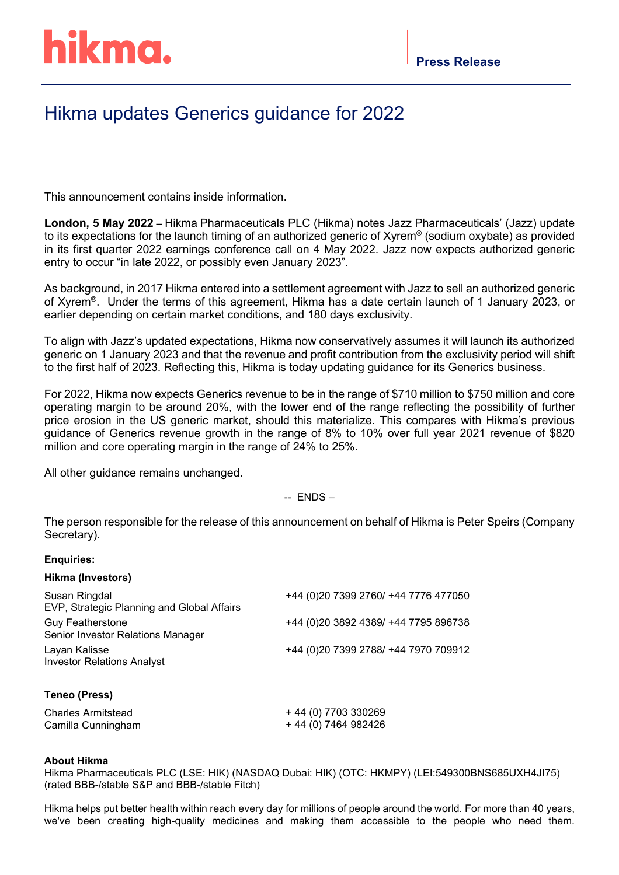## hikma.

## Hikma updates Generics guidance for 2022

This announcement contains inside information.

**London, 5 May 2022** – Hikma Pharmaceuticals PLC (Hikma) notes Jazz Pharmaceuticals' (Jazz) update to its expectations for the launch timing of an authorized generic of Xyrem® (sodium oxybate) as provided in its first quarter 2022 earnings conference call on 4 May 2022. Jazz now expects authorized generic entry to occur "in late 2022, or possibly even January 2023".

As background, in 2017 Hikma entered into a settlement agreement with Jazz to sell an authorized generic of Xyrem®. Under the terms of this agreement, Hikma has a date certain launch of 1 January 2023, or earlier depending on certain market conditions, and 180 days exclusivity.

To align with Jazz's updated expectations, Hikma now conservatively assumes it will launch its authorized generic on 1 January 2023 and that the revenue and profit contribution from the exclusivity period will shift to the first half of 2023. Reflecting this, Hikma is today updating guidance for its Generics business.

For 2022, Hikma now expects Generics revenue to be in the range of \$710 million to \$750 million and core operating margin to be around 20%, with the lower end of the range reflecting the possibility of further price erosion in the US generic market, should this materialize. This compares with Hikma's previous guidance of Generics revenue growth in the range of 8% to 10% over full year 2021 revenue of \$820 million and core operating margin in the range of 24% to 25%.

All other guidance remains unchanged.

 $-$  ENDS $-$ 

The person responsible for the release of this announcement on behalf of Hikma is Peter Speirs (Company Secretary).

## **Enquiries:**

|  | Hikma (Investors) |
|--|-------------------|
|--|-------------------|

| Susan Ringdal<br>EVP, Strategic Planning and Global Affairs  | +44 (0)20 7399 2760/ +44 7776 477050  |
|--------------------------------------------------------------|---------------------------------------|
| <b>Guy Featherstone</b><br>Senior Investor Relations Manager | +44 (0) 20 3892 4389/ +44 7795 896738 |
| Layan Kalisse<br><b>Investor Relations Analyst</b>           | +44 (0) 20 7399 2788/ +44 7970 709912 |
| Teneo (Press)                                                |                                       |
| <b>Charles Armitstead</b>                                    | + 44 (0) 7703 330269                  |

## **About Hikma**

Camilla Cunningham

Hikma Pharmaceuticals PLC (LSE: HIK) (NASDAQ Dubai: HIK) (OTC: HKMPY) (LEI:549300BNS685UXH4JI75) (rated BBB-/stable S&P and BBB-/stable Fitch)

+ 44 (0) 7464 982426

Hikma helps put better health within reach every day for millions of people around the world. For more than 40 years, we've been creating high-quality medicines and making them accessible to the people who need them.